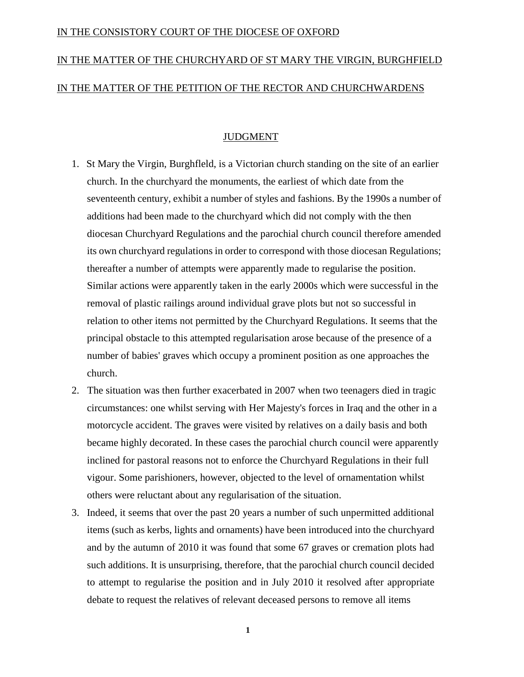## IN THE CONSISTORY COURT OF THE DIOCESE OF OXFORD

## IN THE MATTER OF THE CHURCHYARD OF ST MARY THE VIRGIN, BURGHFIELD IN THE MATTER OF THE PETITION OF THE RECTOR AND CHURCHWARDENS

## JUDGMENT

- 1. St Mary the Virgin, Burghfleld, is a Victorian church standing on the site of an earlier church. In the churchyard the monuments, the earliest of which date from the seventeenth century, exhibit a number of styles and fashions. By the 1990s a number of additions had been made to the churchyard which did not comply with the then diocesan Churchyard Regulations and the parochial church council therefore amended its own churchyard regulations in order to correspond with those diocesan Regulations; thereafter a number of attempts were apparently made to regularise the position. Similar actions were apparently taken in the early 2000s which were successful in the removal of plastic railings around individual grave plots but not so successful in relation to other items not permitted by the Churchyard Regulations. It seems that the principal obstacle to this attempted regularisation arose because of the presence of a number of babies' graves which occupy a prominent position as one approaches the church.
- 2. The situation was then further exacerbated in 2007 when two teenagers died in tragic circumstances: one whilst serving with Her Majesty's forces in Iraq and the other in a motorcycle accident. The graves were visited by relatives on a daily basis and both became highly decorated. In these cases the parochial church council were apparently inclined for pastoral reasons not to enforce the Churchyard Regulations in their full vigour. Some parishioners, however, objected to the level of ornamentation whilst others were reluctant about any regularisation of the situation.
- 3. Indeed, it seems that over the past 20 years a number of such unpermitted additional items (such as kerbs, lights and ornaments) have been introduced into the churchyard and by the autumn of 2010 it was found that some 67 graves or cremation plots had such additions. It is unsurprising, therefore, that the parochial church council decided to attempt to regularise the position and in July 2010 it resolved after appropriate debate to request the relatives of relevant deceased persons to remove all items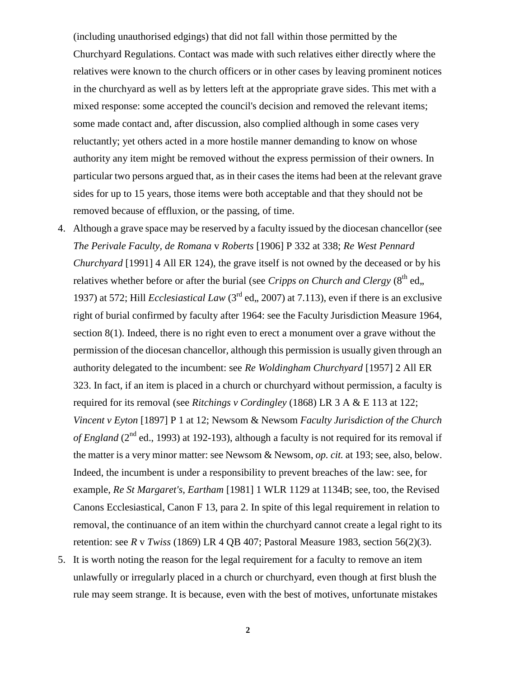(including unauthorised edgings) that did not fall within those permitted by the Churchyard Regulations. Contact was made with such relatives either directly where the relatives were known to the church officers or in other cases by leaving prominent notices in the churchyard as well as by letters left at the appropriate grave sides. This met with a mixed response: some accepted the council's decision and removed the relevant items; some made contact and, after discussion, also complied although in some cases very reluctantly; yet others acted in a more hostile manner demanding to know on whose authority any item might be removed without the express permission of their owners. In particular two persons argued that, as in their cases the items had been at the relevant grave sides for up to 15 years, those items were both acceptable and that they should not be removed because of effluxion, or the passing, of time.

- 4. Although a grave space may be reserved by a faculty issued by the diocesan chancellor (see *The Perivale Faculty, de Romana* v *Roberts* [1906] P 332 at 338; *Re West Pennard Churchyard* [1991] 4 All ER 124), the grave itself is not owned by the deceased or by his relatives whether before or after the burial (see *Cripps on Church and Clergy* (8<sup>th</sup> ed,, 1937) at 572; Hill *Ecclesiastical Law* ( $3<sup>rd</sup>$  ed., 2007) at 7.113), even if there is an exclusive right of burial confirmed by faculty after 1964: see the Faculty Jurisdiction Measure 1964, section 8(1). Indeed, there is no right even to erect a monument over a grave without the permission of the diocesan chancellor, although this permission is usually given through an authority delegated to the incumbent: see *Re Woldingham Churchyard* [1957] 2 All ER 323. In fact, if an item is placed in a church or churchyard without permission, a faculty is required for its removal (see *Ritchings v Cordingley* (1868) LR 3 A & E 113 at 122; *Vincent v Eyton* [1897] P 1 at 12; Newsom & Newsom *Faculty Jurisdiction of the Church of England* ( $2<sup>nd</sup>$  ed., 1993) at 192-193), although a faculty is not required for its removal if the matter is a very minor matter: see Newsom & Newsom, *op. cit.* at 193; see, also, below. Indeed, the incumbent is under a responsibility to prevent breaches of the law: see, for example, *Re St Margaret's, Eartham* [1981] 1 WLR 1129 at 1134B; see, too, the Revised Canons Ecclesiastical, Canon F 13, para 2. In spite of this legal requirement in relation to removal, the continuance of an item within the churchyard cannot create a legal right to its retention: see *R* v *Twiss* (1869) LR 4 QB 407; Pastoral Measure 1983, section 56(2)(3).
- 5. It is worth noting the reason for the legal requirement for a faculty to remove an item unlawfully or irregularly placed in a church or churchyard, even though at first blush the rule may seem strange. It is because, even with the best of motives, unfortunate mistakes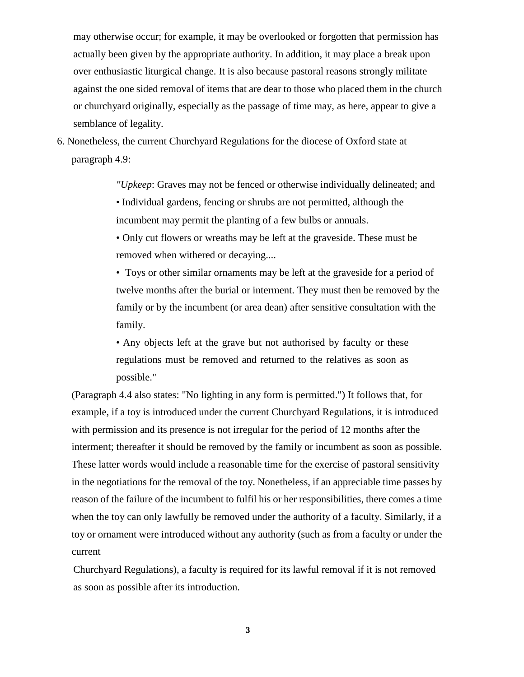may otherwise occur; for example, it may be overlooked or forgotten that permission has actually been given by the appropriate authority. In addition, it may place a break upon over enthusiastic liturgical change. It is also because pastoral reasons strongly militate against the one sided removal of items that are dear to those who placed them in the church or churchyard originally, especially as the passage of time may, as here, appear to give a semblance of legality.

6. Nonetheless, the current Churchyard Regulations for the diocese of Oxford state at paragraph 4.9:

> *"Upkeep*: Graves may not be fenced or otherwise individually delineated; and • Individual gardens, fencing or shrubs are not permitted, although the incumbent may permit the planting of a few bulbs or annuals.

• Only cut flowers or wreaths may be left at the graveside. These must be removed when withered or decaying....

• Toys or other similar ornaments may be left at the graveside for a period of twelve months after the burial or interment. They must then be removed by the family or by the incumbent (or area dean) after sensitive consultation with the family.

• Any objects left at the grave but not authorised by faculty or these regulations must be removed and returned to the relatives as soon as possible."

(Paragraph 4.4 also states: "No lighting in any form is permitted.") It follows that, for example, if a toy is introduced under the current Churchyard Regulations, it is introduced with permission and its presence is not irregular for the period of 12 months after the interment; thereafter it should be removed by the family or incumbent as soon as possible. These latter words would include a reasonable time for the exercise of pastoral sensitivity in the negotiations for the removal of the toy. Nonetheless, if an appreciable time passes by reason of the failure of the incumbent to fulfil his or her responsibilities, there comes a time when the toy can only lawfully be removed under the authority of a faculty. Similarly, if a toy or ornament were introduced without any authority (such as from a faculty or under the current

Churchyard Regulations), a faculty is required for its lawful removal if it is not removed as soon as possible after its introduction.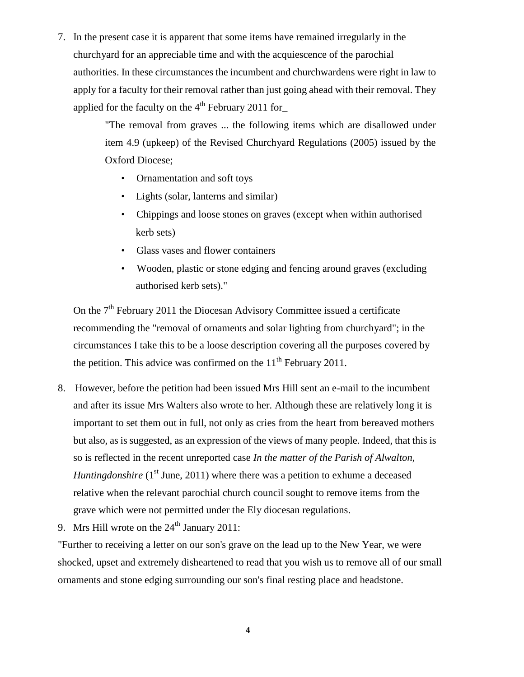7. In the present case it is apparent that some items have remained irregularly in the churchyard for an appreciable time and with the acquiescence of the parochial authorities. In these circumstances the incumbent and churchwardens were right in law to apply for a faculty for their removal rather than just going ahead with their removal. They applied for the faculty on the  $4<sup>th</sup>$  February 2011 for

> "The removal from graves ... the following items which are disallowed under item 4.9 (upkeep) of the Revised Churchyard Regulations (2005) issued by the Oxford Diocese;

- Ornamentation and soft toys
- Lights (solar, lanterns and similar)
- Chippings and loose stones on graves (except when within authorised kerb sets)
- Glass vases and flower containers
- Wooden, plastic or stone edging and fencing around graves (excluding authorised kerb sets)."

On the  $7<sup>th</sup>$  February 2011 the Diocesan Advisory Committee issued a certificate recommending the "removal of ornaments and solar lighting from churchyard"; in the circumstances I take this to be a loose description covering all the purposes covered by the petition. This advice was confirmed on the  $11<sup>th</sup>$  February 2011.

- 8. However, before the petition had been issued Mrs Hill sent an e-mail to the incumbent and after its issue Mrs Walters also wrote to her. Although these are relatively long it is important to set them out in full, not only as cries from the heart from bereaved mothers but also, as is suggested, as an expression of the views of many people. Indeed, that this is so is reflected in the recent unreported case *In the matter of the Parish of Alwalton, Huntingdonshire* (1<sup>st</sup> June, 2011) where there was a petition to exhume a deceased relative when the relevant parochial church council sought to remove items from the grave which were not permitted under the Ely diocesan regulations.
- 9. Mrs Hill wrote on the  $24<sup>th</sup>$  January 2011:

"Further to receiving a letter on our son's grave on the lead up to the New Year, we were shocked, upset and extremely disheartened to read that you wish us to remove all of our small ornaments and stone edging surrounding our son's final resting place and headstone.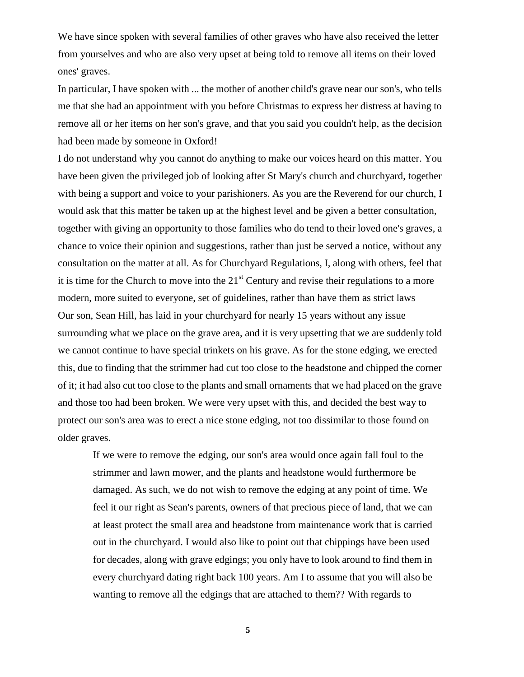We have since spoken with several families of other graves who have also received the letter from yourselves and who are also very upset at being told to remove all items on their loved ones' graves.

In particular, I have spoken with ... the mother of another child's grave near our son's, who tells me that she had an appointment with you before Christmas to express her distress at having to remove all or her items on her son's grave, and that you said you couldn't help, as the decision had been made by someone in Oxford!

I do not understand why you cannot do anything to make our voices heard on this matter. You have been given the privileged job of looking after St Mary's church and churchyard, together with being a support and voice to your parishioners. As you are the Reverend for our church, I would ask that this matter be taken up at the highest level and be given a better consultation, together with giving an opportunity to those families who do tend to their loved one's graves, a chance to voice their opinion and suggestions, rather than just be served a notice, without any consultation on the matter at all. As for Churchyard Regulations, I, along with others, feel that it is time for the Church to move into the  $21<sup>st</sup>$  Century and revise their regulations to a more modern, more suited to everyone, set of guidelines, rather than have them as strict laws Our son, Sean Hill, has laid in your churchyard for nearly 15 years without any issue surrounding what we place on the grave area, and it is very upsetting that we are suddenly told we cannot continue to have special trinkets on his grave. As for the stone edging, we erected this, due to finding that the strimmer had cut too close to the headstone and chipped the corner of it; it had also cut too close to the plants and small ornaments that we had placed on the grave and those too had been broken. We were very upset with this, and decided the best way to protect our son's area was to erect a nice stone edging, not too dissimilar to those found on older graves.

If we were to remove the edging, our son's area would once again fall foul to the strimmer and lawn mower, and the plants and headstone would furthermore be damaged. As such, we do not wish to remove the edging at any point of time. We feel it our right as Sean's parents, owners of that precious piece of land, that we can at least protect the small area and headstone from maintenance work that is carried out in the churchyard. I would also like to point out that chippings have been used for decades, along with grave edgings; you only have to look around to find them in every churchyard dating right back 100 years. Am I to assume that you will also be wanting to remove all the edgings that are attached to them?? With regards to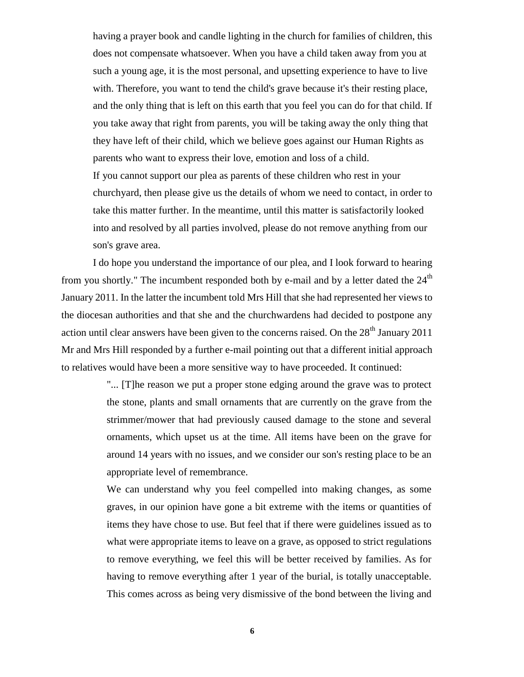having a prayer book and candle lighting in the church for families of children, this does not compensate whatsoever. When you have a child taken away from you at such a young age, it is the most personal, and upsetting experience to have to live with. Therefore, you want to tend the child's grave because it's their resting place, and the only thing that is left on this earth that you feel you can do for that child. If you take away that right from parents, you will be taking away the only thing that they have left of their child, which we believe goes against our Human Rights as parents who want to express their love, emotion and loss of a child. If you cannot support our plea as parents of these children who rest in your churchyard, then please give us the details of whom we need to contact, in order to take this matter further. In the meantime, until this matter is satisfactorily looked into and resolved by all parties involved, please do not remove anything from our son's grave area.

I do hope you understand the importance of our plea, and I look forward to hearing from you shortly." The incumbent responded both by e-mail and by a letter dated the  $24<sup>th</sup>$ January 2011. In the latter the incumbent told Mrs Hill that she had represented her views to the diocesan authorities and that she and the churchwardens had decided to postpone any action until clear answers have been given to the concerns raised. On the  $28<sup>th</sup>$  January 2011 Mr and Mrs Hill responded by a further e-mail pointing out that a different initial approach to relatives would have been a more sensitive way to have proceeded. It continued:

> "... [T]he reason we put a proper stone edging around the grave was to protect the stone, plants and small ornaments that are currently on the grave from the strimmer/mower that had previously caused damage to the stone and several ornaments, which upset us at the time. All items have been on the grave for around 14 years with no issues, and we consider our son's resting place to be an appropriate level of remembrance.

> We can understand why you feel compelled into making changes, as some graves, in our opinion have gone a bit extreme with the items or quantities of items they have chose to use. But feel that if there were guidelines issued as to what were appropriate items to leave on a grave, as opposed to strict regulations to remove everything, we feel this will be better received by families. As for having to remove everything after 1 year of the burial, is totally unacceptable. This comes across as being very dismissive of the bond between the living and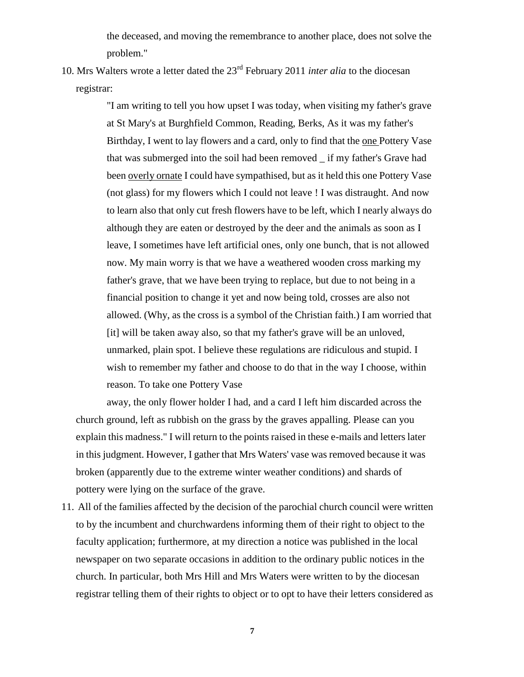the deceased, and moving the remembrance to another place, does not solve the problem."

10. Mrs Walters wrote a letter dated the 23rd February 2011 *inter alia* to the diocesan registrar:

> "I am writing to tell you how upset I was today, when visiting my father's grave at St Mary's at Burghfield Common, Reading, Berks, As it was my father's Birthday, I went to lay flowers and a card, only to find that the one Pottery Vase that was submerged into the soil had been removed \_ if my father's Grave had been overly ornate I could have sympathised, but as it held this one Pottery Vase (not glass) for my flowers which I could not leave ! I was distraught. And now to learn also that only cut fresh flowers have to be left, which I nearly always do although they are eaten or destroyed by the deer and the animals as soon as I leave, I sometimes have left artificial ones, only one bunch, that is not allowed now. My main worry is that we have a weathered wooden cross marking my father's grave, that we have been trying to replace, but due to not being in a financial position to change it yet and now being told, crosses are also not allowed. (Why, as the cross is a symbol of the Christian faith.) I am worried that [it] will be taken away also, so that my father's grave will be an unloved, unmarked, plain spot. I believe these regulations are ridiculous and stupid. I wish to remember my father and choose to do that in the way I choose, within reason. To take one Pottery Vase

away, the only flower holder I had, and a card I left him discarded across the church ground, left as rubbish on the grass by the graves appalling. Please can you explain this madness." I will return to the points raised in these e-mails and letters later in this judgment. However, I gather that Mrs Waters' vase was removed because it was broken (apparently due to the extreme winter weather conditions) and shards of pottery were lying on the surface of the grave.

11. All of the families affected by the decision of the parochial church council were written to by the incumbent and churchwardens informing them of their right to object to the faculty application; furthermore, at my direction a notice was published in the local newspaper on two separate occasions in addition to the ordinary public notices in the church. In particular, both Mrs Hill and Mrs Waters were written to by the diocesan registrar telling them of their rights to object or to opt to have their letters considered as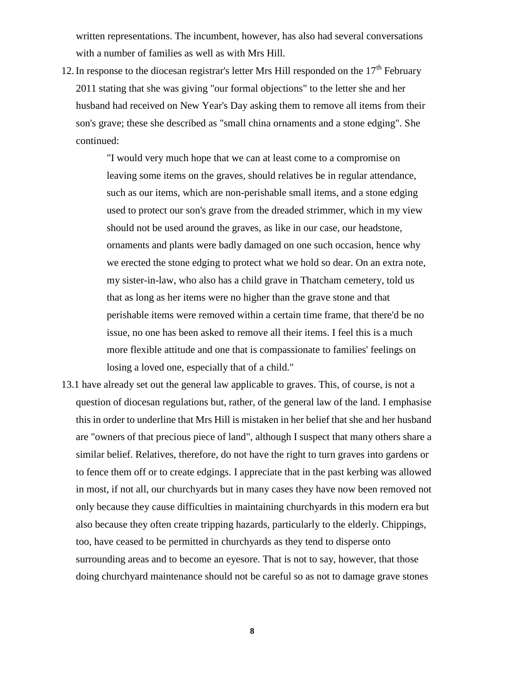written representations. The incumbent, however, has also had several conversations with a number of families as well as with Mrs Hill.

12. In response to the diocesan registrar's letter Mrs Hill responded on the  $17<sup>th</sup>$  February 2011 stating that she was giving "our formal objections" to the letter she and her husband had received on New Year's Day asking them to remove all items from their son's grave; these she described as "small china ornaments and a stone edging". She continued:

> "I would very much hope that we can at least come to a compromise on leaving some items on the graves, should relatives be in regular attendance, such as our items, which are non-perishable small items, and a stone edging used to protect our son's grave from the dreaded strimmer, which in my view should not be used around the graves, as like in our case, our headstone, ornaments and plants were badly damaged on one such occasion, hence why we erected the stone edging to protect what we hold so dear. On an extra note, my sister-in-law, who also has a child grave in Thatcham cemetery, told us that as long as her items were no higher than the grave stone and that perishable items were removed within a certain time frame, that there'd be no issue, no one has been asked to remove all their items. I feel this is a much more flexible attitude and one that is compassionate to families' feelings on losing a loved one, especially that of a child."

13.1 have already set out the general law applicable to graves. This, of course, is not a question of diocesan regulations but, rather, of the general law of the land. I emphasise this in order to underline that Mrs Hill is mistaken in her belief that she and her husband are "owners of that precious piece of land", although I suspect that many others share a similar belief. Relatives, therefore, do not have the right to turn graves into gardens or to fence them off or to create edgings. I appreciate that in the past kerbing was allowed in most, if not all, our churchyards but in many cases they have now been removed not only because they cause difficulties in maintaining churchyards in this modern era but also because they often create tripping hazards, particularly to the elderly. Chippings, too, have ceased to be permitted in churchyards as they tend to disperse onto surrounding areas and to become an eyesore. That is not to say, however, that those doing churchyard maintenance should not be careful so as not to damage grave stones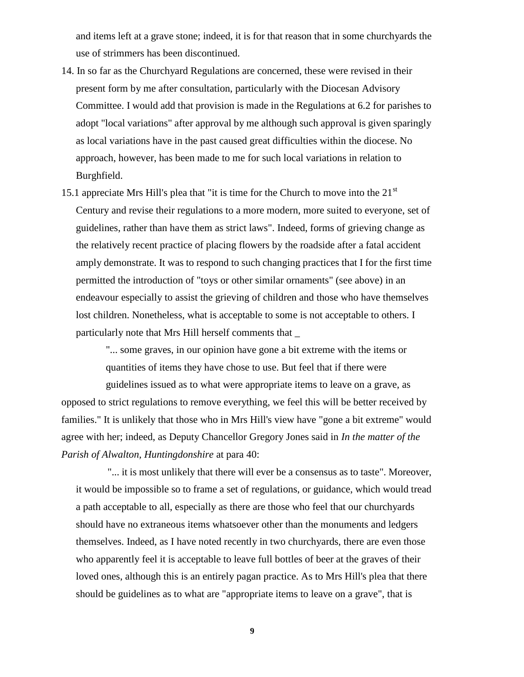and items left at a grave stone; indeed, it is for that reason that in some churchyards the use of strimmers has been discontinued.

- 14. In so far as the Churchyard Regulations are concerned, these were revised in their present form by me after consultation, particularly with the Diocesan Advisory Committee. I would add that provision is made in the Regulations at 6.2 for parishes to adopt "local variations" after approval by me although such approval is given sparingly as local variations have in the past caused great difficulties within the diocese. No approach, however, has been made to me for such local variations in relation to Burghfield.
- 15.1 appreciate Mrs Hill's plea that "it is time for the Church to move into the  $21<sup>st</sup>$ Century and revise their regulations to a more modern, more suited to everyone, set of guidelines, rather than have them as strict laws". Indeed, forms of grieving change as the relatively recent practice of placing flowers by the roadside after a fatal accident amply demonstrate. It was to respond to such changing practices that I for the first time permitted the introduction of "toys or other similar ornaments" (see above) in an endeavour especially to assist the grieving of children and those who have themselves lost children. Nonetheless, what is acceptable to some is not acceptable to others. I particularly note that Mrs Hill herself comments that \_

"... some graves, in our opinion have gone a bit extreme with the items or quantities of items they have chose to use. But feel that if there were

guidelines issued as to what were appropriate items to leave on a grave, as opposed to strict regulations to remove everything, we feel this will be better received by families." It is unlikely that those who in Mrs Hill's view have "gone a bit extreme" would agree with her; indeed, as Deputy Chancellor Gregory Jones said in *In the matter of the Parish of Alwalton, Huntingdonshire* at para 40:

"... it is most unlikely that there will ever be a consensus as to taste". Moreover, it would be impossible so to frame a set of regulations, or guidance, which would tread a path acceptable to all, especially as there are those who feel that our churchyards should have no extraneous items whatsoever other than the monuments and ledgers themselves. Indeed, as I have noted recently in two churchyards, there are even those who apparently feel it is acceptable to leave full bottles of beer at the graves of their loved ones, although this is an entirely pagan practice. As to Mrs Hill's plea that there should be guidelines as to what are "appropriate items to leave on a grave", that is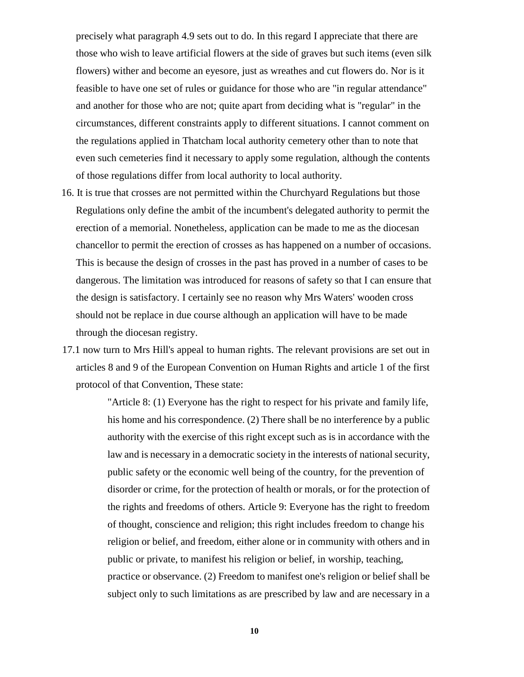precisely what paragraph 4.9 sets out to do. In this regard I appreciate that there are those who wish to leave artificial flowers at the side of graves but such items (even silk flowers) wither and become an eyesore, just as wreathes and cut flowers do. Nor is it feasible to have one set of rules or guidance for those who are "in regular attendance" and another for those who are not; quite apart from deciding what is "regular" in the circumstances, different constraints apply to different situations. I cannot comment on the regulations applied in Thatcham local authority cemetery other than to note that even such cemeteries find it necessary to apply some regulation, although the contents of those regulations differ from local authority to local authority.

- 16. It is true that crosses are not permitted within the Churchyard Regulations but those Regulations only define the ambit of the incumbent's delegated authority to permit the erection of a memorial. Nonetheless, application can be made to me as the diocesan chancellor to permit the erection of crosses as has happened on a number of occasions. This is because the design of crosses in the past has proved in a number of cases to be dangerous. The limitation was introduced for reasons of safety so that I can ensure that the design is satisfactory. I certainly see no reason why Mrs Waters' wooden cross should not be replace in due course although an application will have to be made through the diocesan registry.
- 17.1 now turn to Mrs Hill's appeal to human rights. The relevant provisions are set out in articles 8 and 9 of the European Convention on Human Rights and article 1 of the first protocol of that Convention, These state:

"Article 8: (1) Everyone has the right to respect for his private and family life, his home and his correspondence. (2) There shall be no interference by a public authority with the exercise of this right except such as is in accordance with the law and is necessary in a democratic society in the interests of national security, public safety or the economic well being of the country, for the prevention of disorder or crime, for the protection of health or morals, or for the protection of the rights and freedoms of others. Article 9: Everyone has the right to freedom of thought, conscience and religion; this right includes freedom to change his religion or belief, and freedom, either alone or in community with others and in public or private, to manifest his religion or belief, in worship, teaching, practice or observance. (2) Freedom to manifest one's religion or belief shall be subject only to such limitations as are prescribed by law and are necessary in a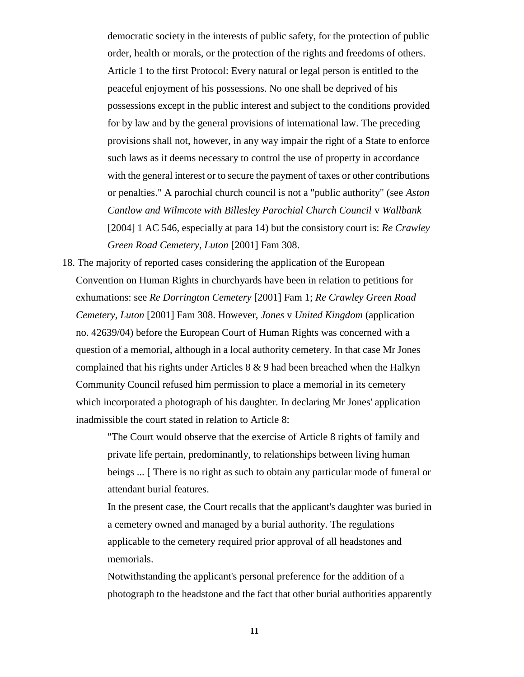democratic society in the interests of public safety, for the protection of public order, health or morals, or the protection of the rights and freedoms of others. Article 1 to the first Protocol: Every natural or legal person is entitled to the peaceful enjoyment of his possessions. No one shall be deprived of his possessions except in the public interest and subject to the conditions provided for by law and by the general provisions of international law. The preceding provisions shall not, however, in any way impair the right of a State to enforce such laws as it deems necessary to control the use of property in accordance with the general interest or to secure the payment of taxes or other contributions or penalties." A parochial church council is not a "public authority" (see *Aston Cantlow and Wilmcote with Billesley Parochial Church Council* v *Wallbank* [2004] 1 AC 546, especially at para 14) but the consistory court is: *Re Crawley Green Road Cemetery, Luton* [2001] Fam 308.

18. The majority of reported cases considering the application of the European Convention on Human Rights in churchyards have been in relation to petitions for exhumations: see *Re Dorrington Cemetery* [2001] Fam 1; *Re Crawley Green Road Cemetery, Luton* [2001] Fam 308. However, *Jones* v *United Kingdom* (application no. 42639/04) before the European Court of Human Rights was concerned with a question of a memorial, although in a local authority cemetery. In that case Mr Jones complained that his rights under Articles 8 & 9 had been breached when the Halkyn Community Council refused him permission to place a memorial in its cemetery which incorporated a photograph of his daughter. In declaring Mr Jones' application inadmissible the court stated in relation to Article 8:

> "The Court would observe that the exercise of Article 8 rights of family and private life pertain, predominantly, to relationships between living human beings ... [ There is no right as such to obtain any particular mode of funeral or attendant burial features.

> In the present case, the Court recalls that the applicant's daughter was buried in a cemetery owned and managed by a burial authority. The regulations applicable to the cemetery required prior approval of all headstones and memorials.

> Notwithstanding the applicant's personal preference for the addition of a photograph to the headstone and the fact that other burial authorities apparently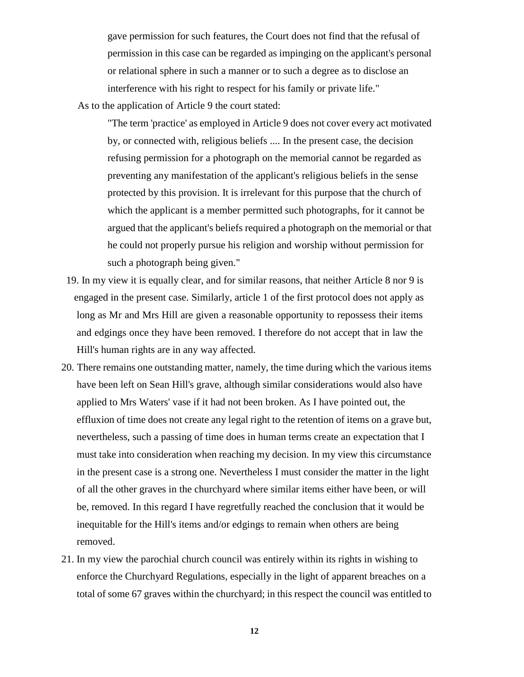gave permission for such features, the Court does not find that the refusal of permission in this case can be regarded as impinging on the applicant's personal or relational sphere in such a manner or to such a degree as to disclose an interference with his right to respect for his family or private life."

As to the application of Article 9 the court stated:

"The term 'practice' as employed in Article 9 does not cover every act motivated by, or connected with, religious beliefs .... In the present case, the decision refusing permission for a photograph on the memorial cannot be regarded as preventing any manifestation of the applicant's religious beliefs in the sense protected by this provision. It is irrelevant for this purpose that the church of which the applicant is a member permitted such photographs, for it cannot be argued that the applicant's beliefs required a photograph on the memorial or that he could not properly pursue his religion and worship without permission for such a photograph being given."

- 19. In my view it is equally clear, and for similar reasons, that neither Article 8 nor 9 is engaged in the present case. Similarly, article 1 of the first protocol does not apply as long as Mr and Mrs Hill are given a reasonable opportunity to repossess their items and edgings once they have been removed. I therefore do not accept that in law the Hill's human rights are in any way affected.
- 20. There remains one outstanding matter, namely, the time during which the various items have been left on Sean Hill's grave, although similar considerations would also have applied to Mrs Waters' vase if it had not been broken. As I have pointed out, the effluxion of time does not create any legal right to the retention of items on a grave but, nevertheless, such a passing of time does in human terms create an expectation that I must take into consideration when reaching my decision. In my view this circumstance in the present case is a strong one. Nevertheless I must consider the matter in the light of all the other graves in the churchyard where similar items either have been, or will be, removed. In this regard I have regretfully reached the conclusion that it would be inequitable for the Hill's items and/or edgings to remain when others are being removed.
- 21. In my view the parochial church council was entirely within its rights in wishing to enforce the Churchyard Regulations, especially in the light of apparent breaches on a total of some 67 graves within the churchyard; in this respect the council was entitled to